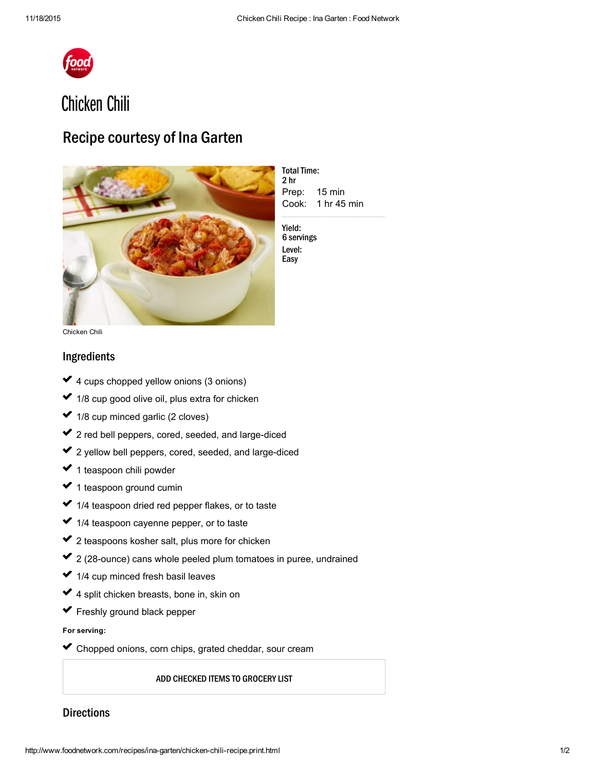

# Chicken Chili

## Recipe courtesy of Ina Garten



Prep: 15 min Cook: 1 hr 45 min **Total Time:** 2 hr

Yield: 6 servings Level: Easy

Chicken Chili

### Ingredients

- 4 cups chopped yellow onions (3 onions)  $\mathcal{L}^{\mathcal{L}}$ ✓  $\mathcal{L}^{\mathcal{L}}$
- 1/8 cup good olive oil, plus extra for chicken ✓ ✓
- $\blacktriangleright$  1/8 cup minced garlic (2 cloves)  $\mathcal{L}^{\mathcal{L}}$
- 2 red bell [peppers,](http://www.foodterms.com/encyclopedia/red-bell-pepper/index.html) cored, seeded, and large-diced ✔ 2  $\mathcal{L}^{\mathcal{L}}$
- 2 yellow bell [peppers,](http://www.foodterms.com/encyclopedia/bell-pepper/index.html) cored, seeded, and large-diced ✔ 2 ✓
- 1 teaspoon chili [powder](http://www.foodterms.com/encyclopedia/chili-powder/index.html) ✓  $\mathcal{L}^{\mathcal{L}}$
- 1 teaspoon ground cumin ✔ 1  $\mathcal{L}^{\mathcal{L}}$
- 1/4 teaspoon dried red [pepper](http://www.foodterms.com/encyclopedia/red-pepper-flakes/index.html) flakes, or to taste ✓ ✓
- 1/4 teaspoon [cayenne](http://www.foodterms.com/encyclopedia/cayenne-pepper/index.html) pepper, or to taste ✓  $\mathcal{L}^{\mathcal{L}}$
- 2 teaspoons kosher salt, plus more for chicken ✔ 2 usika<br>∪a
- 2 (28-ounce) cans whole peeled plum [tomatoes](http://www.foodterms.com/encyclopedia/plum-tomato/index.html) in puree, undrained ✔ 2 ✓
- 1/4 cup minced fresh basil leaves ✓  $\mathcal{L}^{\mathcal{L}}$
- 4 split [chicken](http://www.foodterms.com/encyclopedia/chicken/index.html) breasts, bone in, skin on ✓ usika<br>∪a
- Freshly ground black pepper ✔ F

#### For serving:

Chopped onions, corn chips, grated cheddar, sour [cream](http://www.foodterms.com/encyclopedia/sour-cream/index.html) usik<br>Sala ✓

ADD CHECKED ITEMS TO GROCERY LIST

#### **Directions**